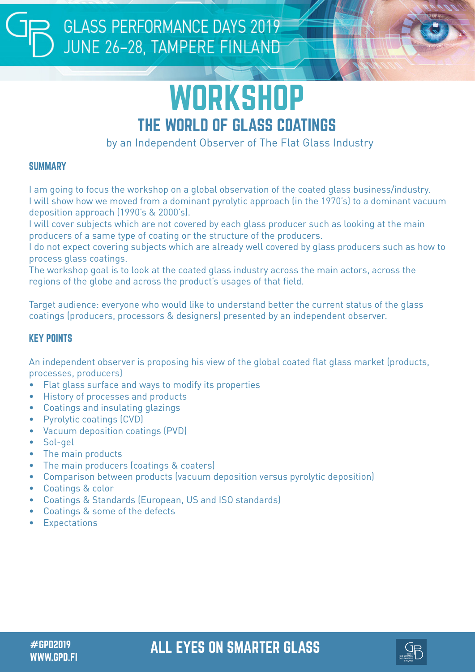## **GLASS PERFORMANCE DAYS 2019** JUNE 26-28, TAMPERE FINLAND



by an Independent Observer of The Flat Glass Industry

### **SUMMARY**

I am going to focus the workshop on a global observation of the coated glass business/industry. I will show how we moved from a dominant pyrolytic approach (in the 1970's) to a dominant vacuum deposition approach (1990's & 2000's).

I will cover subjects which are not covered by each glass producer such as looking at the main producers of a same type of coating or the structure of the producers.

I do not expect covering subjects which are already well covered by glass producers such as how to process glass coatings.

The workshop goal is to look at the coated glass industry across the main actors, across the regions of the globe and across the product's usages of that field.

Target audience: everyone who would like to understand better the current status of the glass coatings (producers, processors & designers) presented by an independent observer.

### KEY POINTS

An independent observer is proposing his view of the global coated flat glass market (products, processes, producers)

- Flat glass surface and ways to modify its properties
- History of processes and products
- Coatings and insulating glazings
- Pyrolytic coatings (CVD)
- Vacuum deposition coatings (PVD)
- Sol-gel
- The main products
- The main producers (coatings & coaters)
- Comparison between products (vacuum deposition versus pyrolytic deposition)
- Coatings & color
- Coatings & Standards (European, US and ISO standards)
- Coatings & some of the defects
- **Expectations**

### #GPD2019 ALL EYES ON SMARTER GLASS